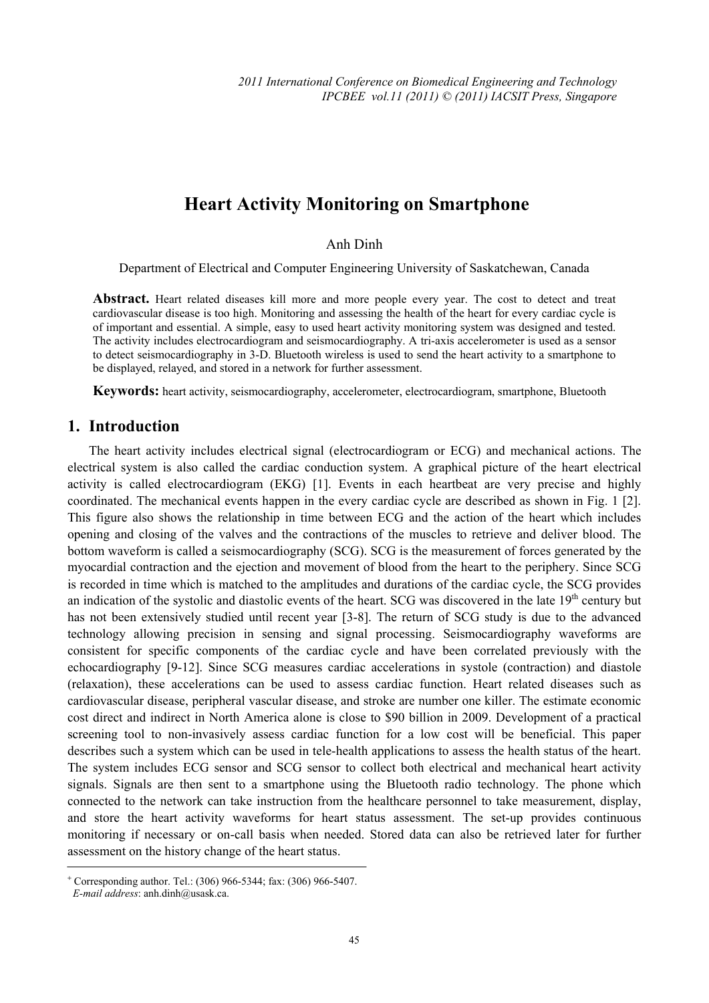# **Heart Activity Monitoring on Smartphone**

#### Anh Dinh

Department of Electrical and Computer Engineering University of Saskatchewan, Canada

**Abstract.** Heart related diseases kill more and more people every year. The cost to detect and treat cardiovascular disease is too high. Monitoring and assessing the health of the heart for every cardiac cycle is of important and essential. A simple, easy to used heart activity monitoring system was designed and tested. The activity includes electrocardiogram and seismocardiography. A tri-axis accelerometer is used as a sensor to detect seismocardiography in 3-D. Bluetooth wireless is used to send the heart activity to a smartphone to be displayed, relayed, and stored in a network for further assessment.

**Keywords:** heart activity, seismocardiography, accelerometer, electrocardiogram, smartphone, Bluetooth

### **1. Introduction**

The heart activity includes electrical signal (electrocardiogram or ECG) and mechanical actions. The electrical system is also called the cardiac conduction system. A graphical picture of the heart electrical activity is called electrocardiogram (EKG) [1]. Events in each heartbeat are very precise and highly coordinated. The mechanical events happen in the every cardiac cycle are described as shown in Fig. 1 [2]. This figure also shows the relationship in time between ECG and the action of the heart which includes opening and closing of the valves and the contractions of the muscles to retrieve and deliver blood. The bottom waveform is called a seismocardiography (SCG). SCG is the measurement of forces generated by the myocardial contraction and the ejection and movement of blood from the heart to the periphery. Since SCG is recorded in time which is matched to the amplitudes and durations of the cardiac cycle, the SCG provides an indication of the systolic and diastolic events of the heart. SCG was discovered in the late 19<sup>th</sup> century but has not been extensively studied until recent year [3-8]. The return of SCG study is due to the advanced technology allowing precision in sensing and signal processing. Seismocardiography waveforms are consistent for specific components of the cardiac cycle and have been correlated previously with the echocardiography [9-12]. Since SCG measures cardiac accelerations in systole (contraction) and diastole (relaxation), these accelerations can be used to assess cardiac function. Heart related diseases such as cardiovascular disease, peripheral vascular disease, and stroke are number one killer. The estimate economic cost direct and indirect in North America alone is close to \$90 billion in 2009. Development of a practical screening tool to non-invasively assess cardiac function for a low cost will be beneficial. This paper describes such a system which can be used in tele-health applications to assess the health status of the heart. The system includes ECG sensor and SCG sensor to collect both electrical and mechanical heart activity signals. Signals are then sent to a smartphone using the Bluetooth radio technology. The phone which connected to the network can take instruction from the healthcare personnel to take measurement, display, and store the heart activity waveforms for heart status assessment. The set-up provides continuous monitoring if necessary or on-call basis when needed. Stored data can also be retrieved later for further assessment on the history change of the heart status.

<sup>+</sup> Corresponding author. Tel.: (306) 966-5344; fax: (306) 966-5407.

*E-mail address*: anh.dinh@usask.ca.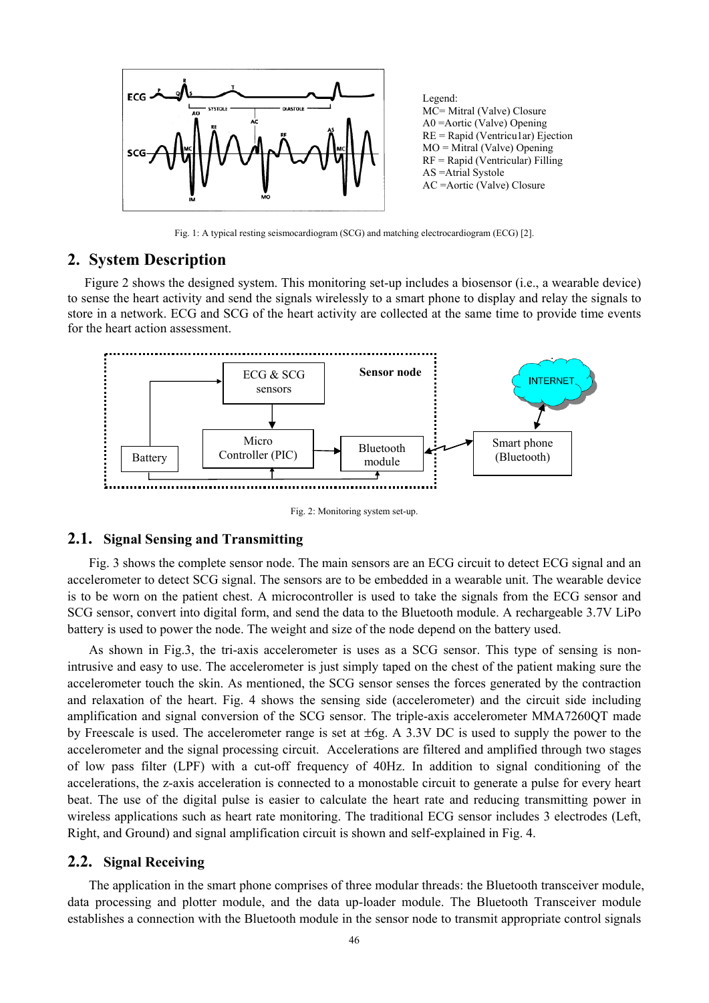

Fig. 1: A typical resting seismocardiogram (SCG) and matching electrocardiogram (ECG) [2].

## **2. System Description**

 Figure 2 shows the designed system. This monitoring set-up includes a biosensor (i.e., a wearable device) to sense the heart activity and send the signals wirelessly to a smart phone to display and relay the signals to store in a network. ECG and SCG of the heart activity are collected at the same time to provide time events for the heart action assessment.



Fig. 2: Monitoring system set-up.

### **2.1. Signal Sensing and Transmitting**

Fig. 3 shows the complete sensor node. The main sensors are an ECG circuit to detect ECG signal and an accelerometer to detect SCG signal. The sensors are to be embedded in a wearable unit. The wearable device is to be worn on the patient chest. A microcontroller is used to take the signals from the ECG sensor and SCG sensor, convert into digital form, and send the data to the Bluetooth module. A rechargeable 3.7V LiPo battery is used to power the node. The weight and size of the node depend on the battery used.

As shown in Fig.3, the tri-axis accelerometer is uses as a SCG sensor. This type of sensing is nonintrusive and easy to use. The accelerometer is just simply taped on the chest of the patient making sure the accelerometer touch the skin. As mentioned, the SCG sensor senses the forces generated by the contraction and relaxation of the heart. Fig. 4 shows the sensing side (accelerometer) and the circuit side including amplification and signal conversion of the SCG sensor. The triple-axis accelerometer MMA7260QT made by Freescale is used. The accelerometer range is set at  $\pm 6g$ . A 3.3V DC is used to supply the power to the accelerometer and the signal processing circuit. Accelerations are filtered and amplified through two stages of low pass filter (LPF) with a cut-off frequency of 40Hz. In addition to signal conditioning of the accelerations, the z-axis acceleration is connected to a monostable circuit to generate a pulse for every heart beat. The use of the digital pulse is easier to calculate the heart rate and reducing transmitting power in wireless applications such as heart rate monitoring. The traditional ECG sensor includes 3 electrodes (Left, Right, and Ground) and signal amplification circuit is shown and self-explained in Fig. 4.

#### **2.2. Signal Receiving**

The application in the smart phone comprises of three modular threads: the Bluetooth transceiver module, data processing and plotter module, and the data up-loader module. The Bluetooth Transceiver module establishes a connection with the Bluetooth module in the sensor node to transmit appropriate control signals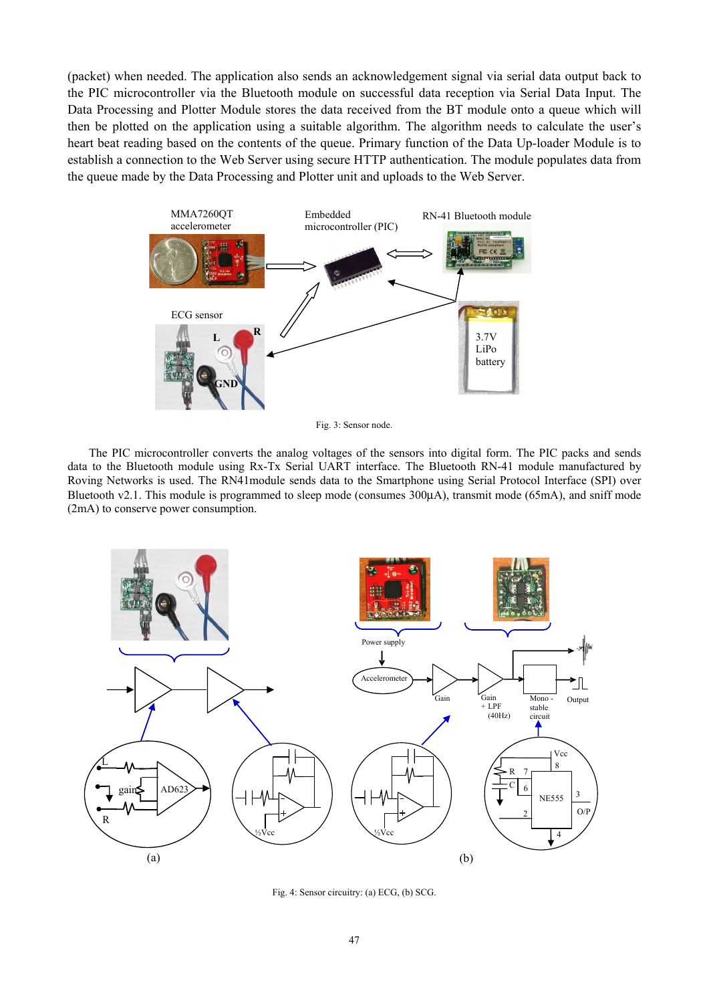(packet) when needed. The application also sends an acknowledgement signal via serial data output back to the PIC microcontroller via the Bluetooth module on successful data reception via Serial Data Input. The Data Processing and Plotter Module stores the data received from the BT module onto a queue which will then be plotted on the application using a suitable algorithm. The algorithm needs to calculate the user's heart beat reading based on the contents of the queue. Primary function of the Data Up-loader Module is to establish a connection to the Web Server using secure HTTP authentication. The module populates data from the queue made by the Data Processing and Plotter unit and uploads to the Web Server.



Fig. 3: Sensor node.

The PIC microcontroller converts the analog voltages of the sensors into digital form. The PIC packs and sends data to the Bluetooth module using Rx-Tx Serial UART interface. The Bluetooth RN-41 module manufactured by Roving Networks is used. The RN41module sends data to the Smartphone using Serial Protocol Interface (SPI) over Bluetooth v2.1. This module is programmed to sleep mode (consumes 300μA), transmit mode (65mA), and sniff mode (2mA) to conserve power consumption.



Fig. 4: Sensor circuitry: (a) ECG, (b) SCG.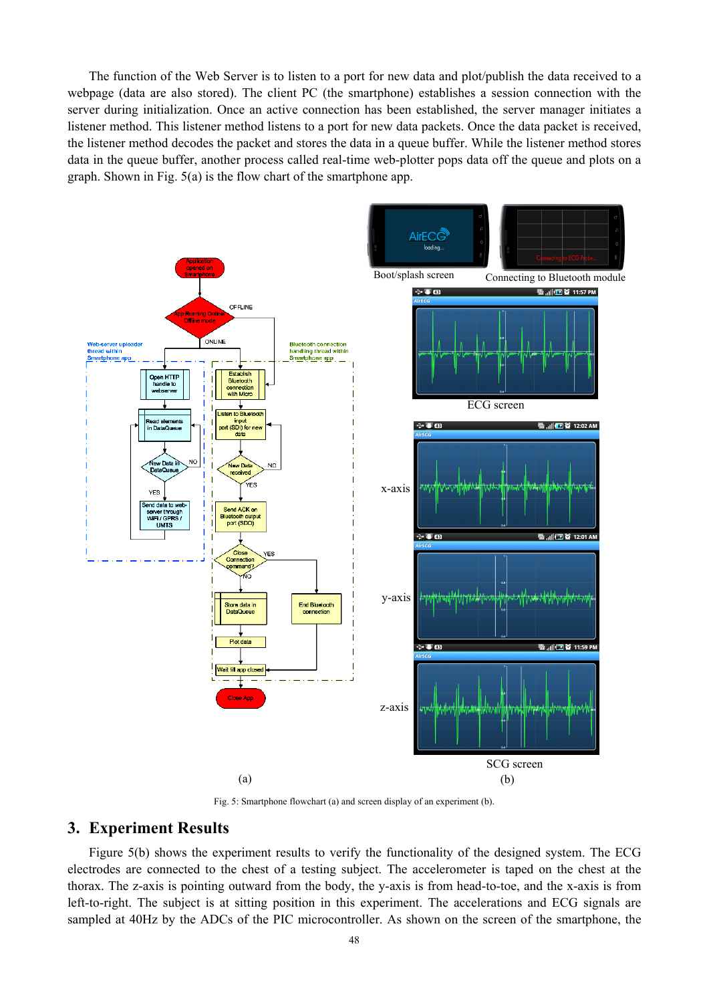The function of the Web Server is to listen to a port for new data and plot/publish the data received to a webpage (data are also stored). The client PC (the smartphone) establishes a session connection with the server during initialization. Once an active connection has been established, the server manager initiates a listener method. This listener method listens to a port for new data packets. Once the data packet is received, the listener method decodes the packet and stores the data in a queue buffer. While the listener method stores data in the queue buffer, another process called real-time web-plotter pops data off the queue and plots on a graph. Shown in Fig. 5(a) is the flow chart of the smartphone app.



Fig. 5: Smartphone flowchart (a) and screen display of an experiment (b).

## **3. Experiment Results**

Figure 5(b) shows the experiment results to verify the functionality of the designed system. The ECG electrodes are connected to the chest of a testing subject. The accelerometer is taped on the chest at the thorax. The z-axis is pointing outward from the body, the y-axis is from head-to-toe, and the x-axis is from left-to-right. The subject is at sitting position in this experiment. The accelerations and ECG signals are sampled at 40Hz by the ADCs of the PIC microcontroller. As shown on the screen of the smartphone, the